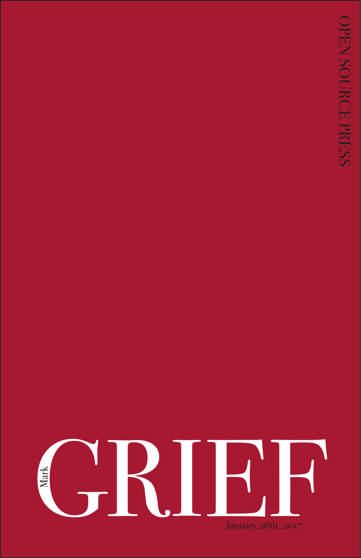# OPEN SOURCE PRESS OPEN SOURCE PRESS



January 26th, 2017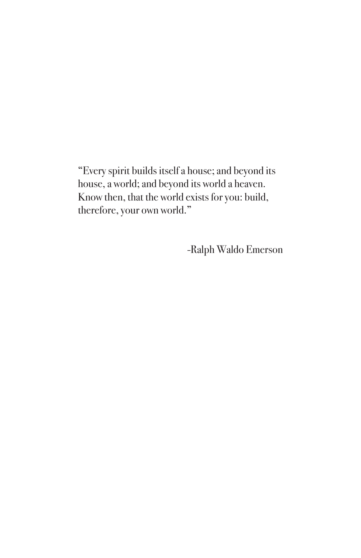"Every spirit builds itself a house; and beyond its house, a world; and beyond its world a heaven. Know then, that the world exists for you: build, therefore, your own world."

-Ralph Waldo Emerson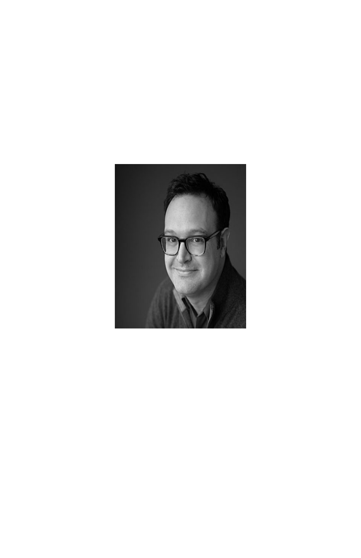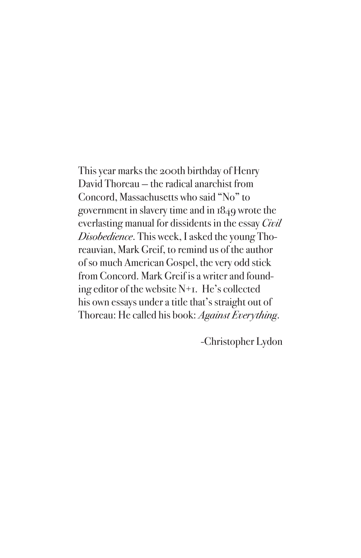This year marks the 200th birthday of Henry David Thoreau — the radical anarchist from Concord, Massachusetts who said "No" to government in slavery time and in 1849 wrote the everlasting manual for dissidents in the essay *Civil Disobedience*. This week, I asked the young Thoreauvian, Mark Greif, to remind us of the author of so much American Gospel, the very odd stick from Concord. Mark Greif is a writer and founding editor of the website N+1. He's collected his own essays under a title that's straight out of Thoreau: He called his book: *Against Everything*.

-Christopher Lydon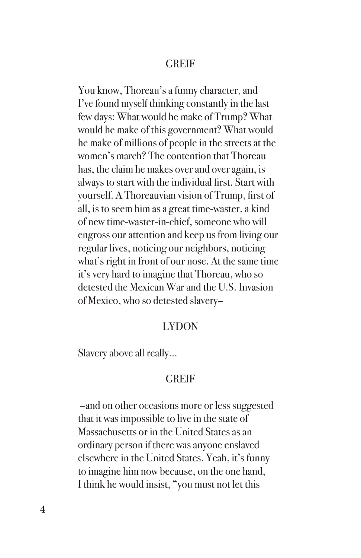## **GREIF**

You know, Thoreau's a funny character, and I've found myself thinking constantly in the last few days: What would he make of Trump? What would he make of this government? What would he make of millions of people in the streets at the women's march? The contention that Thoreau has, the claim he makes over and over again, is always to start with the individual first. Start with yourself. A Thoreauvian vision of Trump, first of all, is to seem him as a great time-waster, a kind of new time-waster-in-chief, someone who will engross our attention and keep us from living our regular lives, noticing our neighbors, noticing what's right in front of our nose. At the same time it's very hard to imagine that Thoreau, who so detested the Mexican War and the U.S. Invasion of Mexico, who so detested slavery–

## LYDON

Slavery above all really...

## **GREIF**

 –and on other occasions more or less suggested that it was impossible to live in the state of Massachusetts or in the United States as an ordinary person if there was anyone enslaved elsewhere in the United States. Yeah, it's funny to imagine him now because, on the one hand, I think he would insist, "you must not let this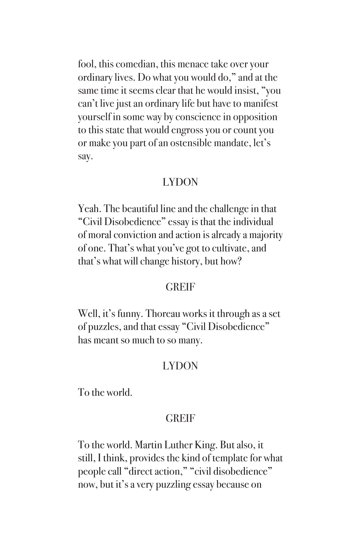fool, this comedian, this menace take over your ordinary lives. Do what you would do," and at the same time it seems clear that he would insist, "you can't live just an ordinary life but have to manifest yourself in some way by conscience in opposition to this state that would engross you or count you or make you part of an ostensible mandate, let's say.

## LYDON

Yeah. The beautiful line and the challenge in that "Civil Disobedience" essay is that the individual of moral conviction and action is already a majority of one. That's what you've got to cultivate, and that's what will change history, but how?

#### **GREIF**

Well, it's funny. Thoreau works it through as a set of puzzles, and that essay "Civil Disobedience" has meant so much to so many.

## LYDON

To the world.

#### **GREIF**

To the world. Martin Luther King. But also, it still, I think, provides the kind of template for what people call "direct action," "civil disobedience" now, but it's a very puzzling essay because on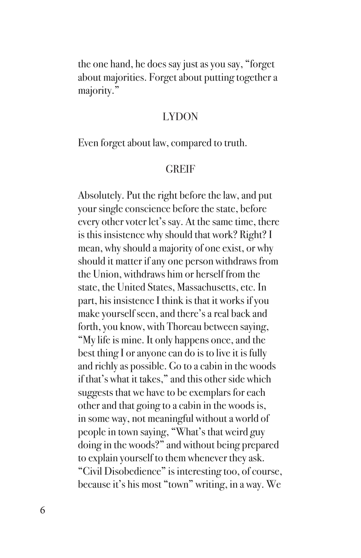the one hand, he does say just as you say, "forget about majorities. Forget about putting together a majority."

## LYDON

Even forget about law, compared to truth.

#### GREIF

Absolutely. Put the right before the law, and put your single conscience before the state, before every other voter let's say. At the same time, there is this insistence why should that work? Right? I mean, why should a majority of one exist, or why should it matter if any one person withdraws from the Union, withdraws him or herself from the state, the United States, Massachusetts, etc. In part, his insistence I think is that it works if you make yourself seen, and there's a real back and forth, you know, with Thoreau between saying, "My life is mine. It only happens once, and the best thing I or anyone can do is to live it is fully and richly as possible. Go to a cabin in the woods if that's what it takes," and this other side which suggests that we have to be exemplars for each other and that going to a cabin in the woods is, in some way, not meaningful without a world of people in town saying, "What's that weird guy doing in the woods?" and without being prepared to explain yourself to them whenever they ask. "Civil Disobedience" is interesting too, of course, because it's his most "town" writing, in a way. We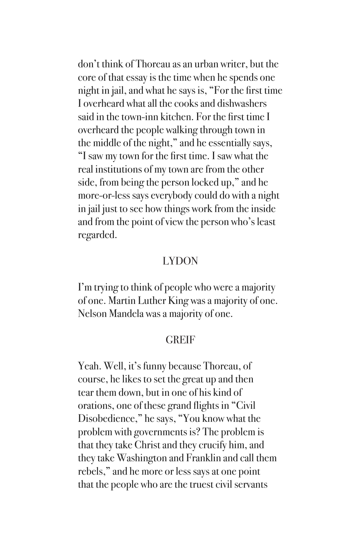don't think of Thoreau as an urban writer, but the core of that essay is the time when he spends one night in jail, and what he says is, "For the first time I overheard what all the cooks and dishwashers said in the town-inn kitchen. For the first time I overheard the people walking through town in the middle of the night," and he essentially says, "I saw my town for the first time. I saw what the real institutions of my town are from the other side, from being the person locked up," and he more-or-less says everybody could do with a night in jail just to see how things work from the inside and from the point of view the person who's least regarded.

## LYDON

I'm trying to think of people who were a majority of one. Martin Luther King was a majority of one. Nelson Mandela was a majority of one.

#### **GREIF**

Yeah. Well, it's funny because Thoreau, of course, he likes to set the great up and then tear them down, but in one of his kind of orations, one of these grand flights in "Civil Disobedience," he says, "You know what the problem with governments is? The problem is that they take Christ and they crucify him, and they take Washington and Franklin and call them rebels," and he more or less says at one point that the people who are the truest civil servants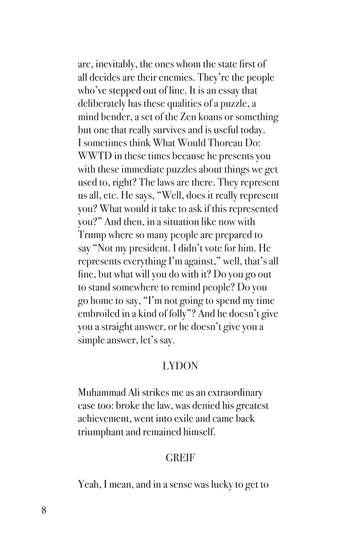are, inevitably, the ones whom the state first of all decides are their enemies. They're the people who've stepped out of line. It is an essay that deliberately has these qualities of a puzzle, a mind bender, a set of the Zen koans or something but one that really survives and is useful today. I sometimes think What Would Thoreau Do: WWTD in these times because he presents you with these immediate puzzles about things we get used to, right? The laws are there. They represent us all, etc. He says, "Well, does it really represent you? What would it take to ask if this represented you?" And then, in a situation like now with Trump where so many people are prepared to say "Not my president. I didn't vote for him. He represents everything I'm against," well, that's all fine, but what will you do with it? Do you go out to stand somewhere to remind people? Do you go home to say, "I'm not going to spend my time embroiled in a kind of folly"? And he doesn't give you a straight answer, or he doesn't give you a simple answer, let's say.

# LYDON

Muhammad Ali strikes me as an extraordinary case too: broke the law, was denied his greatest achievement, went into exile and came back triumphant and remained himself.

## **GREIF**

Yeah, I mean, and in a sense was lucky to get to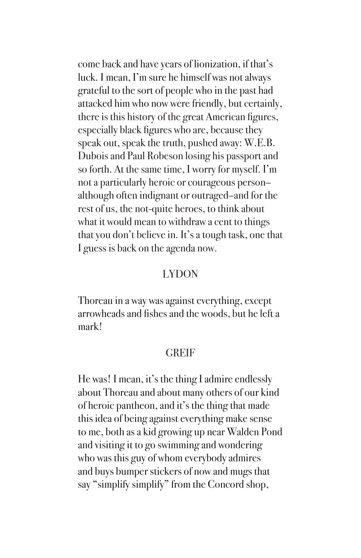come back and have years of lionization, if that's luck. I mean, I'm sure he himself was not always grateful to the sort of people who in the past had attacked him who now were friendly, but certainly, there is this history of the great American figures, especially black figures who are, because they speak out, speak the truth, pushed away: W.E.B. Dubois and Paul Robeson losing his passport and so forth. At the same time, I worry for myself. I'm not a particularly heroic or courageous person– although often indignant or outraged–and for the rest of us, the not-quite heroes, to think about what it would mean to withdraw a cent to things that you don't believe in. It's a tough task, one that I guess is back on the agenda now.

## LYDON

Thoreau in a way was against everything, except arrowheads and fishes and the woods, but he left a mark!

# GREIF

He was! I mean, it's the thing I admire endlessly about Thoreau and about many others of our kind of heroic pantheon, and it's the thing that made this idea of being against everything make sense to me, both as a kid growing up near Walden Pond and visiting it to go swimming and wondering who was this guy of whom everybody admires and buys bumper stickers of now and mugs that say "simplify simplify" from the Concord shop,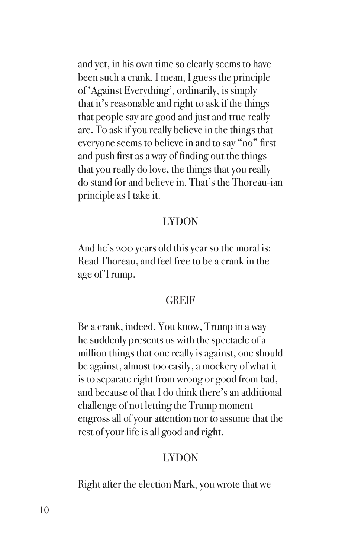and yet, in his own time so clearly seems to have been such a crank. I mean, I guess the principle of 'Against Everything', ordinarily, is simply that it's reasonable and right to ask if the things that people say are good and just and true really are. To ask if you really believe in the things that everyone seems to believe in and to say "no" first and push first as a way of finding out the things that you really do love, the things that you really do stand for and believe in. That's the Thoreau-ian principle as I take it.

## LYDON

And he's 200 years old this year so the moral is: Read Thoreau, and feel free to be a crank in the age of Trump.

## GREIF

Be a crank, indeed. You know, Trump in a way he suddenly presents us with the spectacle of a million things that one really is against, one should be against, almost too easily, a mockery of what it is to separate right from wrong or good from bad, and because of that I do think there's an additional challenge of not letting the Trump moment engross all of your attention nor to assume that the rest of your life is all good and right.

# LYDON

Right after the election Mark, you wrote that we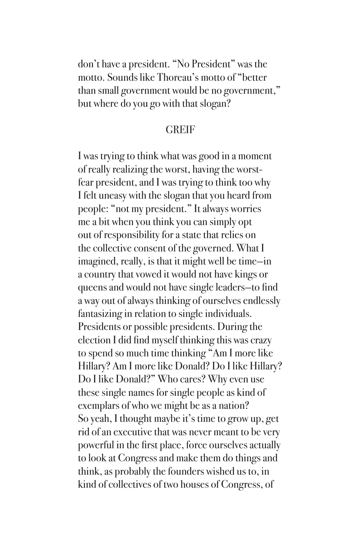don't have a president. "No President" was the motto. Sounds like Thoreau's motto of "better than small government would be no government," but where do you go with that slogan?

#### **GREIF**

I was trying to think what was good in a moment of really realizing the worst, having the worstfear president, and I was trying to think too why I felt uneasy with the slogan that you heard from people: "not my president." It always worries me a bit when you think you can simply opt out of responsibility for a state that relies on the collective consent of the governed. What I imagined, really, is that it might well be time—in a country that vowed it would not have kings or queens and would not have single leaders—to find a way out of always thinking of ourselves endlessly fantasizing in relation to single individuals. Presidents or possible presidents. During the election I did find myself thinking this was crazy to spend so much time thinking "Am I more like Hillary? Am I more like Donald? Do I like Hillary? Do I like Donald?" Who cares? Why even use these single names for single people as kind of exemplars of who we might be as a nation? So yeah, I thought maybe it's time to grow up, get rid of an executive that was never meant to be very powerful in the first place, force ourselves actually to look at Congress and make them do things and think, as probably the founders wished us to, in kind of collectives of two houses of Congress, of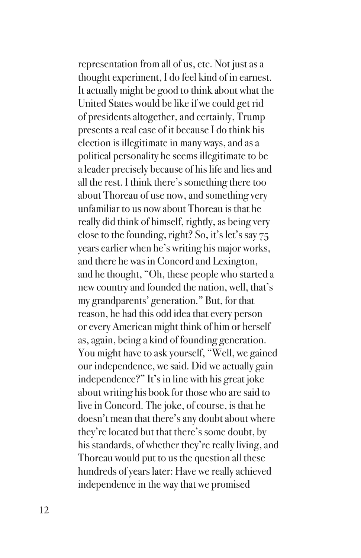representation from all of us, etc. Not just as a thought experiment, I do feel kind of in earnest. It actually might be good to think about what the United States would be like if we could get rid of presidents altogether, and certainly, Trump presents a real case of it because I do think his election is illegitimate in many ways, and as a political personality he seems illegitimate to be a leader precisely because of his life and lies and all the rest. I think there's something there too about Thoreau of use now, and something very unfamiliar to us now about Thoreau is that he really did think of himself, rightly, as being very close to the founding, right? So, it's let's say 75 years earlier when he's writing his major works, and there he was in Concord and Lexington, and he thought, "Oh, these people who started a new country and founded the nation, well, that's my grandparents' generation." But, for that reason, he had this odd idea that every person or every American might think of him or herself as, again, being a kind of founding generation. You might have to ask yourself, "Well, we gained our independence, we said. Did we actually gain independence?" It's in line with his great joke about writing his book for those who are said to live in Concord. The joke, of course, is that he doesn't mean that there's any doubt about where they're located but that there's some doubt, by his standards, of whether they're really living, and Thoreau would put to us the question all these hundreds of years later: Have we really achieved independence in the way that we promised